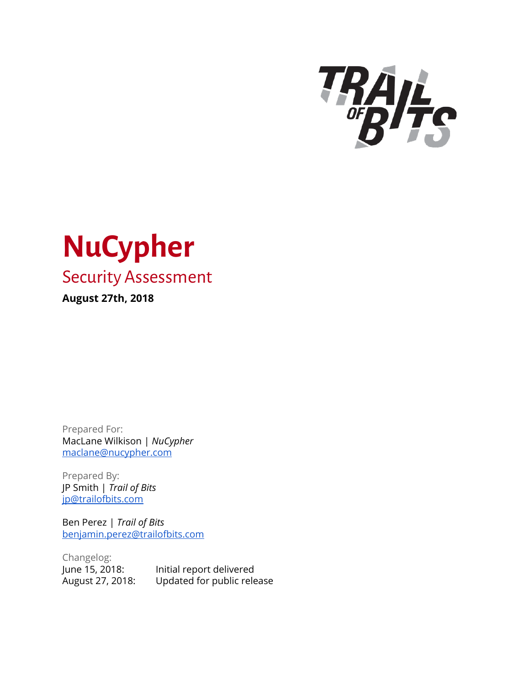



Prepared For: MacLane Wilkison | *NuCypher* [maclane@nucypher.com](mailto:maclane@nucypher.com)

Prepared By: JP Smith | *Trail of Bits* [jp@trailofbits.com](mailto:jp@trailofbits.com)

Ben Perez | *Trail of Bits* [benjamin.perez@trailofbits.com](mailto:benjamin.perez@trailofbits.com)

Changelog: June 15, 2018: Initial report delivered August 27, 2018: Updated for public release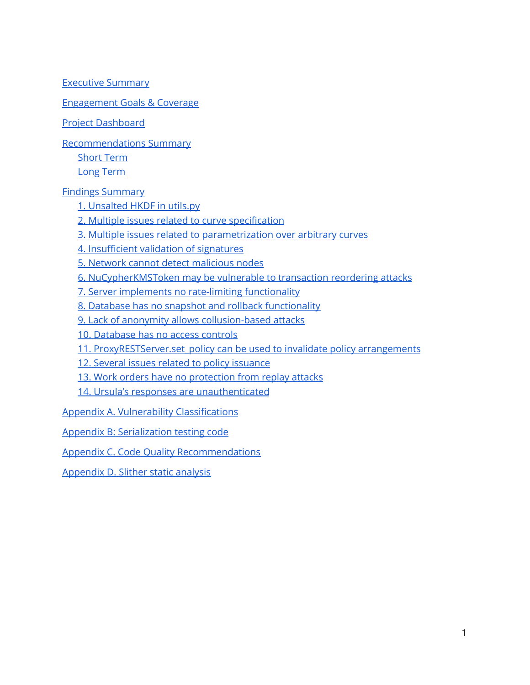Executive [Summary](#page-2-0)

[Engagement](#page-3-0) Goals & Coverage

Project [Dashboard](#page-5-0)

[Recommendations](#page-6-0) Summary

[Short](#page-6-1) Term

Long [Term](#page-7-0)

Findings [Summary](#page-8-0)

1. [Unsalted](#page-9-0) HKDF in utils.py

2. Multiple issues related to curve [specification](#page-10-0)

3. Multiple issues related to [parametrization](#page-12-0) over arbitrary curves

4. Insufficient validation of signatures

5. [Network cannot](#page-16-0) detect malicious nodes

6. [NuCypherKMSToken](#page-18-0) may be vulnerable to transaction reordering attacks

7. Server implements no rate-limiting [functionality](#page-20-0)

8. Database has no snapshot and [rollback functionality](#page-21-0)

9. Lack of anonymity allows [collusion-based](#page-22-0) attacks

10. [Database](#page-23-0) has no access controls

11. ProxyRESTServer.set policy can be used to invalidate policy arrangements

12. Several issues related to policy [issuance](#page-25-0)

13. [Work orders](#page-26-0) have no protection from replay attacks

14. Ursula's responses are [unauthenticated](#page-27-0)

Appendix A. Vulnerability [Classifications](#page-28-0)

Appendix B: [Serialization](#page-30-0) testing code

Appendix C. Code Quality [Recommendations](#page-33-0)

Appendix D. Slither [static analysis](#page-34-0)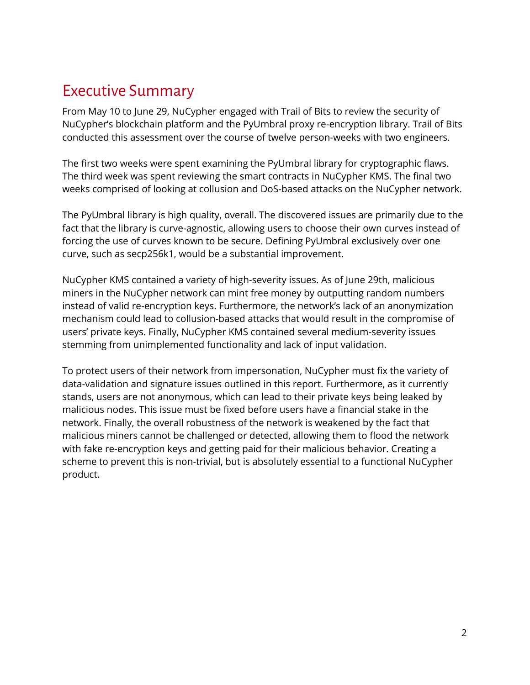## <span id="page-2-0"></span>Executive Summary

From May 10 to June 29, NuCypher engaged with Trail of Bits to review the security of NuCypher's blockchain platform and the PyUmbral proxy re-encryption library. Trail of Bits conducted this assessment over the course of twelve person-weeks with two engineers.

The first two weeks were spent examining the PyUmbral library for cryptographic flaws. The third week was spent reviewing the smart contracts in NuCypher KMS. The final two weeks comprised of looking at collusion and DoS-based attacks on the NuCypher network.

The PyUmbral library is high quality, overall. The discovered issues are primarily due to the fact that the library is curve-agnostic, allowing users to choose their own curves instead of forcing the use of curves known to be secure. Defining PyUmbral exclusively over one curve, such as secp256k1, would be a substantial improvement.

NuCypher KMS contained a variety of high-severity issues. As of June 29th, malicious miners in the NuCypher network can mint free money by outputting random numbers instead of valid re-encryption keys. Furthermore, the network's lack of an anonymization mechanism could lead to collusion-based attacks that would result in the compromise of users' private keys. Finally, NuCypher KMS contained several medium-severity issues stemming from unimplemented functionality and lack of input validation.

To protect users of their network from impersonation, NuCypher must fix the variety of data-validation and signature issues outlined in this report. Furthermore, as it currently stands, users are not anonymous, which can lead to their private keys being leaked by malicious nodes. This issue must be fixed before users have a financial stake in the network. Finally, the overall robustness of the network is weakened by the fact that malicious miners cannot be challenged or detected, allowing them to flood the network with fake re-encryption keys and getting paid for their malicious behavior. Creating a scheme to prevent this is non-trivial, but is absolutely essential to a functional NuCypher product.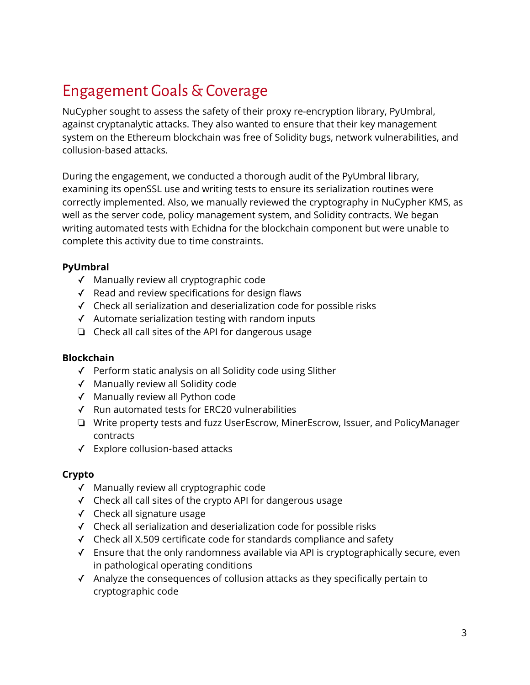# <span id="page-3-0"></span>Engagement Goals&Coverage

NuCypher sought to assess the safety of their proxy re-encryption library, PyUmbral, against cryptanalytic attacks. They also wanted to ensure that their key management system on the Ethereum blockchain was free of Solidity bugs, network vulnerabilities, and collusion-based attacks.

During the engagement, we conducted a thorough audit of the PyUmbral library, examining its openSSL use and writing tests to ensure its serialization routines were correctly implemented. Also, we manually reviewed the cryptography in NuCypher KMS, as well as the server code, policy management system, and Solidity contracts. We began writing automated tests with Echidna for the blockchain component but were unable to complete this activity due to time constraints.

### **PyUmbral**

- ✓ Manually review all cryptographic code
- ✓ Read and review specifications for design flaws
- ✓ Check all serialization and deserialization code for possible risks
- ✓ Automate serialization testing with random inputs
- ❏ Check all call sites of the API for dangerous usage

### **Blockchain**

- ✓ Perform static analysis on all Solidity code using Slither
- ✓ Manually review all Solidity code
- ✓ Manually review all Python code
- ✓ Run automated tests for ERC20 vulnerabilities
- ❏ Write property tests and fuzz UserEscrow, MinerEscrow, Issuer, and PolicyManager contracts
- ✓ Explore collusion-based attacks

### **Crypto**

- ✓ Manually review all cryptographic code
- ✓ Check all call sites of the crypto API for dangerous usage
- ✓ Check all signature usage
- ✓ Check all serialization and deserialization code for possible risks
- ✓ Check all X.509 certificate code for standards compliance and safety
- ✓ Ensure that the only randomness available via API is cryptographically secure, even in pathological operating conditions
- ✓ Analyze the consequences of collusion attacks as they specifically pertain to cryptographic code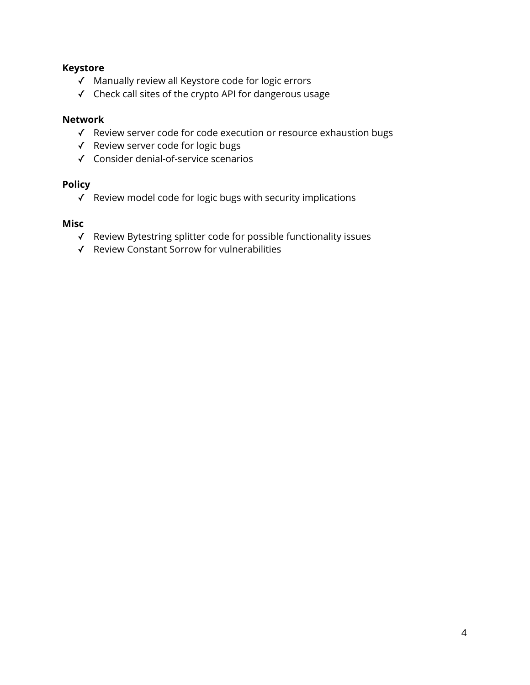### **Keystore**

- ✓ Manually review all Keystore code for logic errors
- ✓ Check call sites of the crypto API for dangerous usage

### **Network**

- ✓ Review server code for code execution or resource exhaustion bugs
- ✓ Review server code for logic bugs
- ✓ Consider denial-of-service scenarios

### **Policy**

✓ Review model code for logic bugs with security implications

### **Misc**

- ✓ Review Bytestring splitter code for possible functionality issues
- ✓ Review Constant Sorrow for vulnerabilities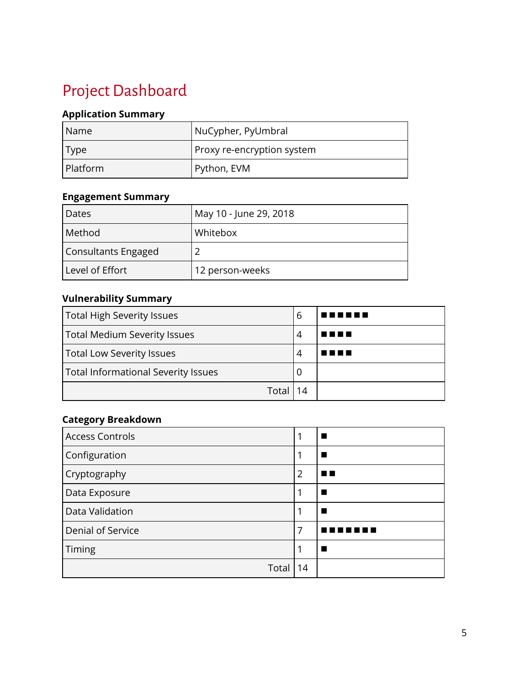# <span id="page-5-0"></span>Project Dashboard

### **Application Summary**

| l Name   | NuCypher, PyUmbral         |
|----------|----------------------------|
| Type     | Proxy re-encryption system |
| Platform | Python, EVM                |

### **Engagement Summary**

| Dates               | May 10 - June 29, 2018 |
|---------------------|------------------------|
| Method              | Whitebox               |
| Consultants Engaged |                        |
| Level of Effort     | 12 person-weeks        |

### **Vulnerability Summary**

| <b>Total High Severity Issues</b>   |   | T E E L<br><b>.</b> |
|-------------------------------------|---|---------------------|
| <b>Total Medium Severity Issues</b> | 4 | T 8 8 8             |
| <b>Total Low Severity Issues</b>    | 4 |                     |
| Total Informational Severity Issues | O |                     |
| Total                               |   |                     |

### **Category Breakdown**

| <b>Access Controls</b> |                |  |
|------------------------|----------------|--|
| Configuration          |                |  |
| Cryptography           | $\overline{2}$ |  |
| Data Exposure          |                |  |
| Data Validation        |                |  |
| Denial of Service      | 7              |  |
| Timing                 |                |  |
| Total                  | 14             |  |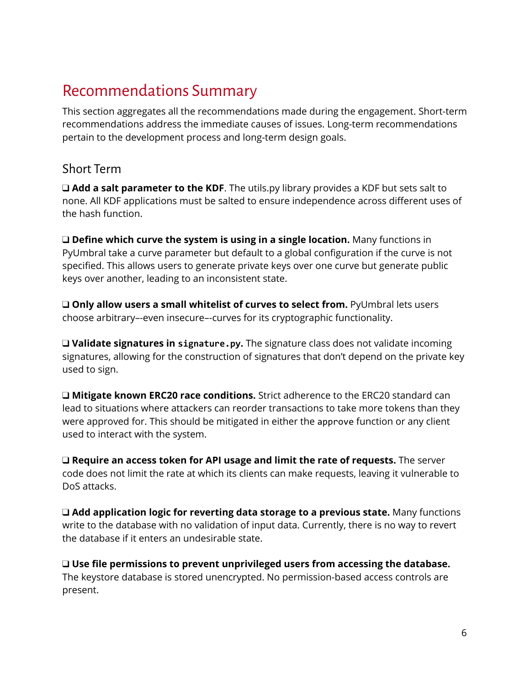## <span id="page-6-0"></span>Recommendations Summary

This section aggregates all the recommendations made during the engagement. Short-term recommendations address the immediate causes of issues. Long-term recommendations pertain to the development process and long-term design goals.

### <span id="page-6-1"></span>Short Term

❑ **Add a salt parameter to the KDF**. The utils.py library provides a KDF but sets salt to none. All KDF applications must be salted to ensure independence across different uses of the hash function.

❑ **Define which curve the system is using in a single location.** Many functions in PyUmbral take a curve parameter but default to a global configuration if the curve is not specified. This allows users to generate private keys over one curve but generate public keys over another, leading to an inconsistent state.

❑ **Only allow users a small whitelist of curves to select from.** PyUmbral lets users choose arbitrary–-even insecure–-curves for its cryptographic functionality.

❑ **Validate signatures in signature.py.** The signature class does not validate incoming signatures, allowing for the construction of signatures that don't depend on the private key used to sign.

❑ **Mitigate known ERC20 race conditions.** Strict adherence to the ERC20 standard can lead to situations where attackers can reorder transactions to take more tokens than they were approved for. This should be mitigated in either the approve function or any client used to interact with the system.

❑ **Require an access token for API usage and limit the rate of requests.** The server code does not limit the rate at which its clients can make requests, leaving it vulnerable to DoS attacks.

❑ **Add application logic for reverting data storage to a previous state.** Many functions write to the database with no validation of input data. Currently, there is no way to revert the database if it enters an undesirable state.

❑ **Use file permissions to prevent unprivileged users from accessing the database.** The keystore database is stored unencrypted. No permission-based access controls are present.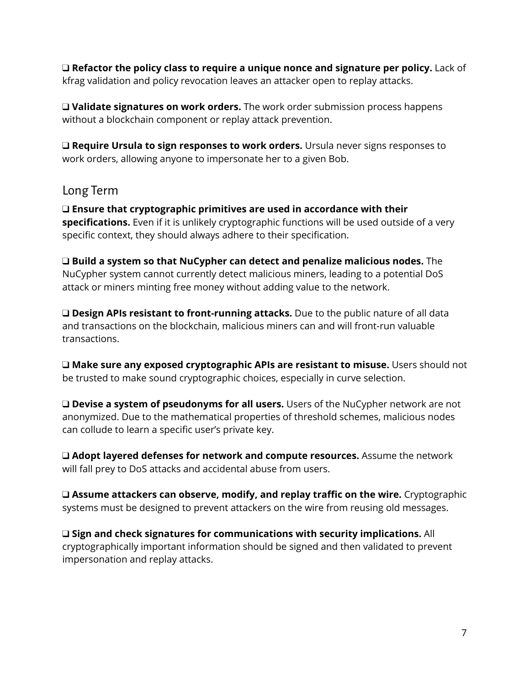❑ **Refactor the policy class to require a unique nonce and signature per policy.** Lack of kfrag validation and policy revocation leaves an attacker open to replay attacks.

❑ **Validate signatures on work orders.** The work order submission process happens without a blockchain component or replay attack prevention.

❑ **Require Ursula to sign responses to work orders.** Ursula never signs responses to work orders, allowing anyone to impersonate her to a given Bob.

### <span id="page-7-0"></span>Long Term

❑ **Ensure that cryptographic primitives are used in accordance with their specifications.** Even if it is unlikely cryptographic functions will be used outside of a very specific context, they should always adhere to their specification.

❑ **Build a system so that NuCypher can detect and penalize malicious nodes.** The NuCypher system cannot currently detect malicious miners, leading to a potential DoS attack or miners minting free money without adding value to the network.

❑ **Design APIs resistant to front-running attacks.** Due to the public nature of all data and transactions on the blockchain, malicious miners can and will front-run valuable transactions.

❑ **Make sure any exposed cryptographic APIs are resistant to misuse.** Users should not be trusted to make sound cryptographic choices, especially in curve selection.

❑ **Devise a system of pseudonyms for all users.** Users of the NuCypher network are not anonymized. Due to the mathematical properties of threshold schemes, malicious nodes can collude to learn a specific user's private key.

❑ **Adopt layered defenses for network and compute resources.** Assume the network will fall prey to DoS attacks and accidental abuse from users.

❑ **Assume attackers can observe, modify, and replay traffic on the wire.** Cryptographic systems must be designed to prevent attackers on the wire from reusing old messages.

❑ **Sign and check signatures for communications with security implications.** All cryptographically important information should be signed and then validated to prevent impersonation and replay attacks.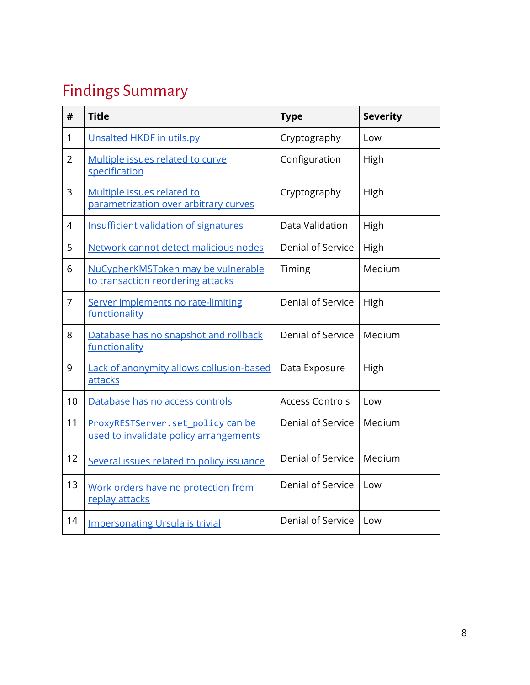# <span id="page-8-0"></span>Findings Summary

| #              | <b>Title</b>                                                                | <b>Type</b>              | <b>Severity</b> |
|----------------|-----------------------------------------------------------------------------|--------------------------|-----------------|
| 1              | Unsalted HKDF in utils.py                                                   | Cryptography             | Low             |
| $\overline{2}$ | Multiple issues related to curve<br>specification                           | Configuration            | High            |
| 3              | Multiple issues related to<br>parametrization over arbitrary curves         | Cryptography             | High            |
| $\overline{4}$ | Insufficient validation of signatures                                       | Data Validation          | High            |
| 5              | Network cannot detect malicious nodes                                       | Denial of Service        | High            |
| 6              | NuCypherKMSToken may be vulnerable<br>to transaction reordering attacks     | Timing                   | Medium          |
| $\overline{7}$ | Server implements no rate-limiting<br>functionality                         | Denial of Service        | High            |
| 8              | Database has no snapshot and rollback<br>functionality                      | Denial of Service        | Medium          |
| 9              | Lack of anonymity allows collusion-based<br>attacks                         | Data Exposure            | High            |
| 10             | Database has no access controls                                             | <b>Access Controls</b>   | Low             |
| 11             | ProxyRESTServer.set_policy can be<br>used to invalidate policy arrangements | Denial of Service        | Medium          |
| 12             | Several issues related to policy issuance                                   | Denial of Service        | Medium          |
| 13             | Work orders have no protection from<br>replay attacks                       | <b>Denial of Service</b> | Low             |
| 14             | <b>Impersonating Ursula is trivial</b>                                      | Denial of Service        | Low             |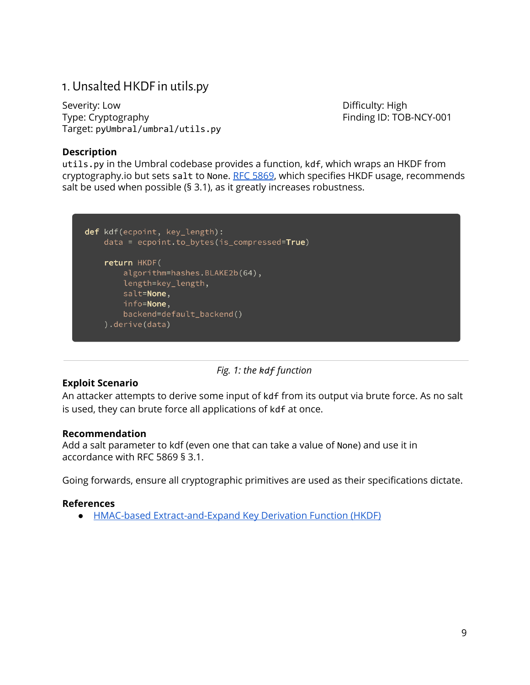### <span id="page-9-0"></span>1. Unsalted HKDF in utils.py

Severity: Low **Difficulty: High** Type: Cryptography Type: Cryptography Target: pyUmbral/umbral/utils.py

### **Description**

utils.py in the Umbral codebase provides a function, kdf, which wraps an HKDF from cryptography.io but sets salt to None. RFC [5869](https://tools.ietf.org/html/rfc5869), which specifies HKDF usage, recommends salt be used when possible (§ 3.1), as it greatly increases robustness.



*Fig. 1: the kdf function*

### **Exploit Scenario**

An attacker attempts to derive some input of kdf from its output via brute force. As no salt is used, they can brute force all applications of kdf at once.

### **Recommendation**

Add a salt parameter to kdf (even one that can take a value of None) and use it in accordance with RFC 5869 § 3.1.

Going forwards, ensure all cryptographic primitives are used as their specifications dictate.

### **References**

● HMAC-based [Extract-and-Expand](https://tools.ietf.org/html/rfc5869) Key Derivation Function (HKDF)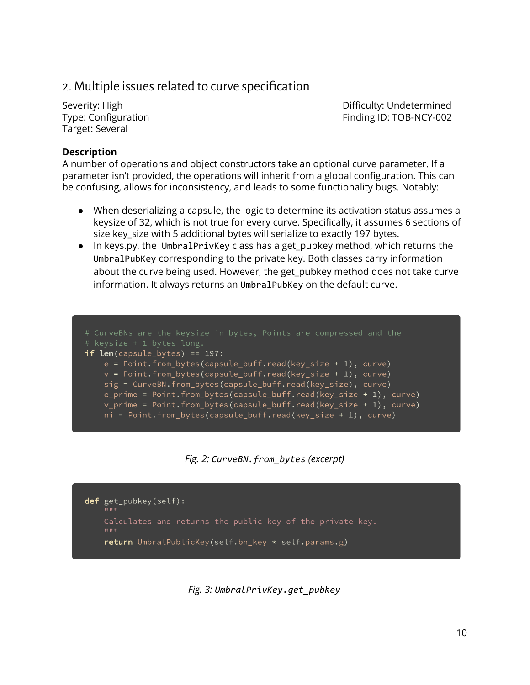### <span id="page-10-0"></span>2. Multiple issues related to curve specification

Target: Several

Severity: High Difficulty: Undetermined Type: Configuration Finding ID: TOB-NCY-002

### **Description**

A number of operations and object constructors take an optional curve parameter. If a parameter isn't provided, the operations will inherit from a global configuration. This can be confusing, allows for inconsistency, and leads to some functionality bugs. Notably:

- When deserializing a capsule, the logic to determine its activation status assumes a keysize of 32, which is not true for every curve. Specifically, it assumes 6 sections of size key size with 5 additional bytes will serialize to exactly 197 bytes.
- In keys.py, the UmbralPrivKey class has a get\_pubkey method, which returns the UmbralPubKey corresponding to the private key. Both classes carry information about the curve being used. However, the get\_pubkey method does not take curve information. It always returns an UmbralPubKey on the default curve.

# CurveBNs are the keysize in bytes, Points are compressed and the if  $len(capsule_bytes) == 197$ :  $e = Point.from_bytes(capsule_buff.read(key_size + 1), curve)$ v = Point.from\_bytes(capsule\_buff.read(key\_size + 1), curve) sig = CurveBN.from\_bytes(capsule\_buff.read(key\_size), curve) e\_prime = Point.from\_bytes(capsule\_buff.read(key\_size + 1), curve) v\_prime = Point.from\_bytes(capsule\_buff.read(key\_size + 1), curve) ni = Point.from\_bytes(capsule\_buff.read(key\_size + 1), curve)

*Fig. 2: CurveBN.from\_bytes (excerpt)*

def get\_pubkey(self): Calculates and returns the public key of the private key. return UmbralPublicKey(self.bn\_key \* self.params.g)

*Fig. 3: UmbralPrivKey.get\_pubkey*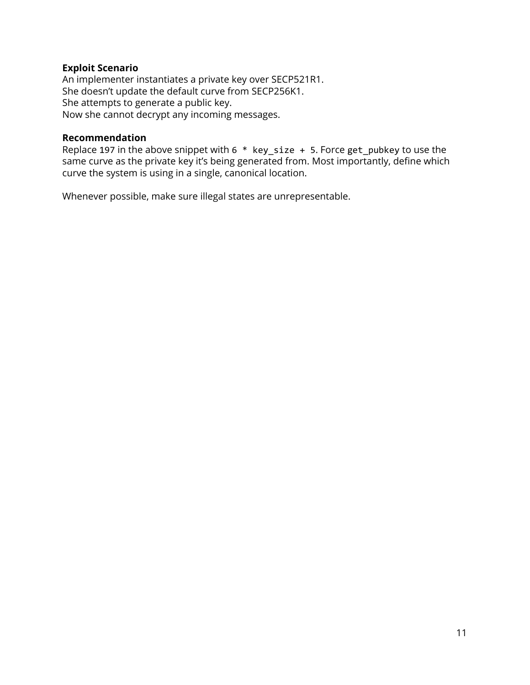### **Exploit Scenario**

An implementer instantiates a private key over SECP521R1. She doesn't update the default curve from SECP256K1. She attempts to generate a public key. Now she cannot decrypt any incoming messages.

### **Recommendation**

Replace 197 in the above snippet with 6 \* key\_size + 5. Force get\_pubkey to use the same curve as the private key it's being generated from. Most importantly, define which curve the system is using in a single, canonical location.

Whenever possible, make sure illegal states are unrepresentable.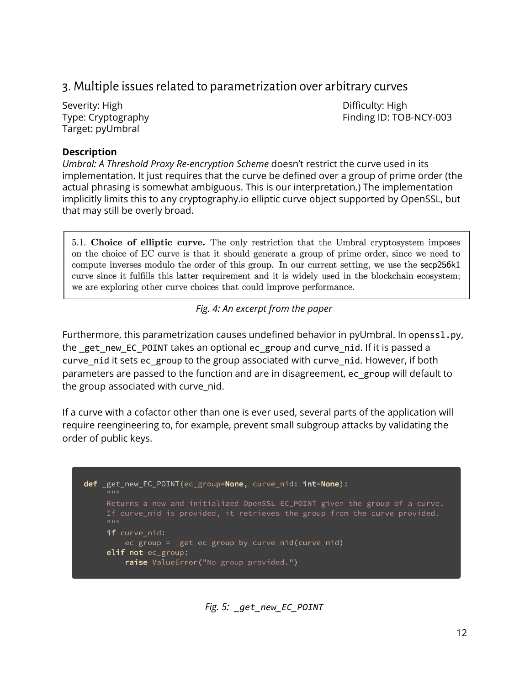### <span id="page-12-0"></span>3. Multiple issues related to parametrization over arbitrary curves

Severity: High Difficulty: High Difficulty: High Difficulty: High Difficulty: High Difficulty: High Target: pyUmbral

Type: Cryptography Type: Cryptography

### **Description**

*Umbral: A Threshold Proxy Re-encryption Scheme* doesn't restrict the curve used in its implementation. It just requires that the curve be defined over a group of prime order (the actual phrasing is somewhat ambiguous. This is our interpretation.) The implementation implicitly limits this to any cryptography.io elliptic curve object supported by OpenSSL, but that may still be overly broad.

5.1. Choice of elliptic curve. The only restriction that the Umbral cryptosystem imposes on the choice of EC curve is that it should generate a group of prime order, since we need to compute inverses modulo the order of this group. In our current setting, we use the secp256k1 curve since it fulfills this latter requirement and it is widely used in the blockchain ecosystem; we are exploring other curve choices that could improve performance.

### *Fig. 4: An excerpt from the paper*

Furthermore, this parametrization causes undefined behavior in pyUmbral. In openssl.py, the get new EC POINT takes an optional ec group and curve nid. If it is passed a curve\_nid it sets ec\_group to the group associated with curve\_nid. However, if both parameters are passed to the function and are in disagreement, ec\_group will default to the group associated with curve nid.

If a curve with a cofactor other than one is ever used, several parts of the application will require reengineering to, for example, prevent small subgroup attacks by validating the order of public keys.

*Fig. 5: \_get\_new\_EC\_POINT*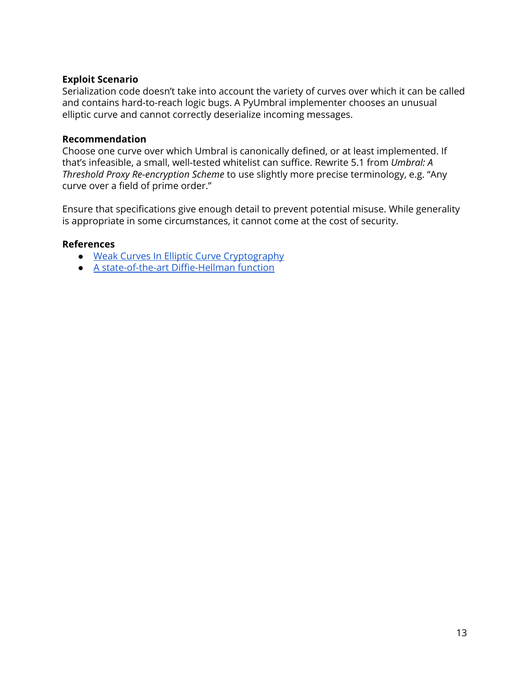### **Exploit Scenario**

Serialization code doesn't take into account the variety of curves over which it can be called and contains hard-to-reach logic bugs. A PyUmbral implementer chooses an unusual elliptic curve and cannot correctly deserialize incoming messages.

### **Recommendation**

Choose one curve over which Umbral is canonically defined, or at least implemented. If that's infeasible, a small, well-tested whitelist can suffice. Rewrite 5.1 from *Umbral: A Threshold Proxy Re-encryption Scheme* to use slightly more precise terminology, e.g. "Any curve over a field of prime order."

Ensure that specifications give enough detail to prevent potential misuse. While generality is appropriate in some circumstances, it cannot come at the cost of security.

#### **References**

- Weak Curves In Elliptic Curve [Cryptography](https://wstein.org/edu/2010/414/projects/novotney.pdf)
- A [state-of-the-art](https://cr.yp.to/ecdh.html) Diffie-Hellman function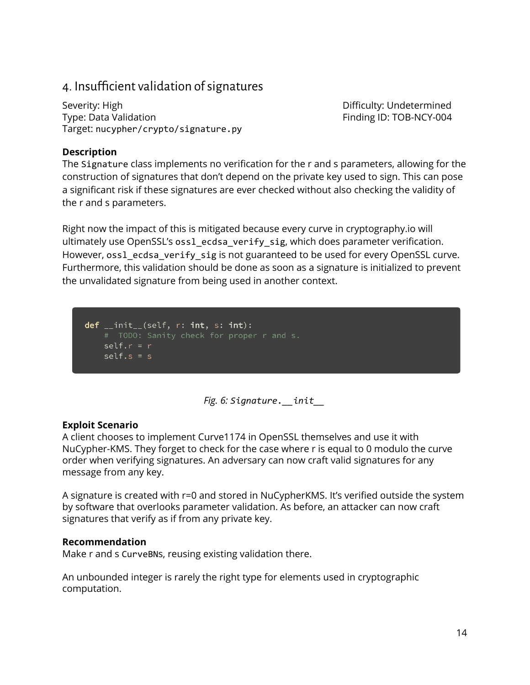### 4. Insufficient validation of signatures

Severity: High Difficulty: Undetermined Type: Data Validation Type: Data Validation Finding ID: TOB-NCY-004 Target: nucypher/crypto/signature.py

### **Description**

The Signature class implements no verification for the r and s parameters, allowing for the construction of signatures that don't depend on the private key used to sign. This can pose a significant risk if these signatures are ever checked without also checking the validity of the r and s parameters.

Right now the impact of this is mitigated because every curve in cryptography.io will ultimately use OpenSSL's ossl\_ecdsa\_verify\_sig, which does parameter verification. However, oss1\_ecdsa\_verify\_sig is not guaranteed to be used for every OpenSSL curve. Furthermore, this validation should be done as soon as a signature is initialized to prevent the unvalidated signature from being used in another context.

 $def$   $_{_{}}$ init $_{_{}}$ (self, r: int, s: int): # TODO: Sanity check for proper r and s.  $self.r = r$  $self.s = s$ 

*Fig. 6: Signature.\_\_init\_\_*

### **Exploit Scenario**

A client chooses to implement Curve1174 in OpenSSL themselves and use it with NuCypher-KMS. They forget to check for the case where r is equal to 0 modulo the curve order when verifying signatures. An adversary can now craft valid signatures for any message from any key.

A signature is created with r=0 and stored in NuCypherKMS. It's verified outside the system by software that overlooks parameter validation. As before, an attacker can now craft signatures that verify as if from any private key.

### **Recommendation**

Make r and s CurveBNs, reusing existing validation there.

An unbounded integer is rarely the right type for elements used in cryptographic computation.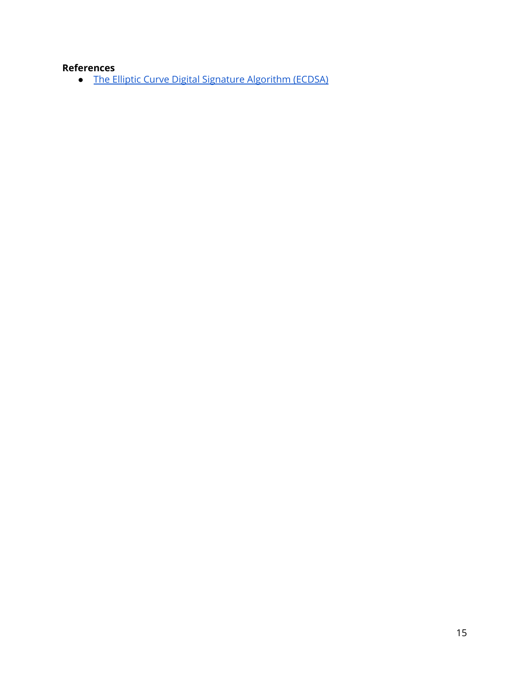### **References**

● The [Elliptic Curve](http://www.cs.miami.edu/home/burt/learning/Csc609.142/ecdsa-cert.pdf) Digital Signature Algorithm (ECDSA)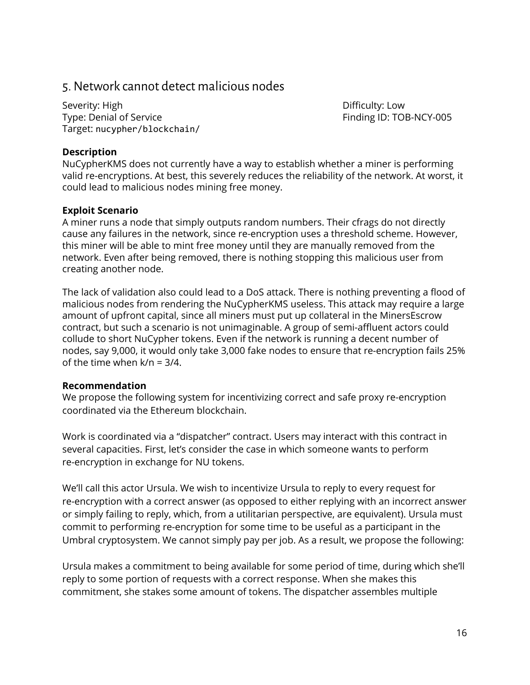### <span id="page-16-0"></span>5.Network cannot detect malicious nodes

Severity: High Difficulty: Low Type: Denial of Service Type: Denial of Service Target: nucypher/blockchain/

### **Description**

NuCypherKMS does not currently have a way to establish whether a miner is performing valid re-encryptions. At best, this severely reduces the reliability of the network. At worst, it could lead to malicious nodes mining free money.

### **Exploit Scenario**

A miner runs a node that simply outputs random numbers. Their cfrags do not directly cause any failures in the network, since re-encryption uses a threshold scheme. However, this miner will be able to mint free money until they are manually removed from the network. Even after being removed, there is nothing stopping this malicious user from creating another node.

The lack of validation also could lead to a DoS attack. There is nothing preventing a flood of malicious nodes from rendering the NuCypherKMS useless. This attack may require a large amount of upfront capital, since all miners must put up collateral in the MinersEscrow contract, but such a scenario is not unimaginable. A group of semi-affluent actors could collude to short NuCypher tokens. Even if the network is running a decent number of nodes, say 9,000, it would only take 3,000 fake nodes to ensure that re-encryption fails 25% of the time when k/n = 3/4.

### **Recommendation**

We propose the following system for incentivizing correct and safe proxy re-encryption coordinated via the Ethereum blockchain.

Work is coordinated via a "dispatcher" contract. Users may interact with this contract in several capacities. First, let's consider the case in which someone wants to perform re-encryption in exchange for NU tokens.

We'll call this actor Ursula. We wish to incentivize Ursula to reply to every request for re-encryption with a correct answer (as opposed to either replying with an incorrect answer or simply failing to reply, which, from a utilitarian perspective, are equivalent). Ursula must commit to performing re-encryption for some time to be useful as a participant in the Umbral cryptosystem. We cannot simply pay per job. As a result, we propose the following:

Ursula makes a commitment to being available for some period of time, during which she'll reply to some portion of requests with a correct response. When she makes this commitment, she stakes some amount of tokens. The dispatcher assembles multiple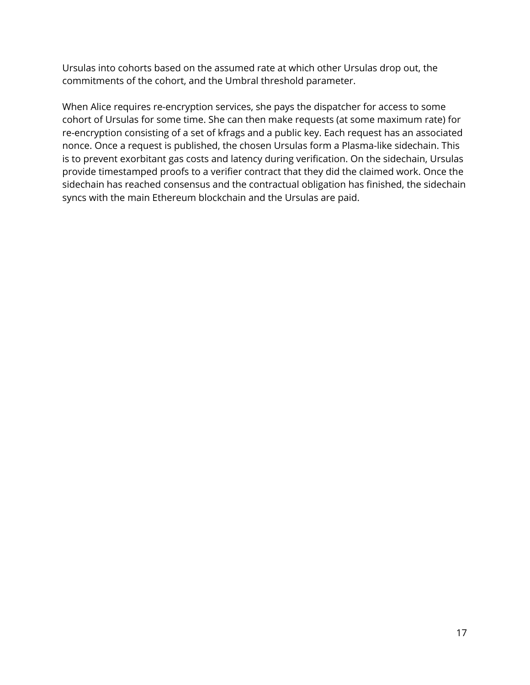Ursulas into cohorts based on the assumed rate at which other Ursulas drop out, the commitments of the cohort, and the Umbral threshold parameter.

When Alice requires re-encryption services, she pays the dispatcher for access to some cohort of Ursulas for some time. She can then make requests (at some maximum rate) for re-encryption consisting of a set of kfrags and a public key. Each request has an associated nonce. Once a request is published, the chosen Ursulas form a Plasma-like sidechain. This is to prevent exorbitant gas costs and latency during verification. On the sidechain, Ursulas provide timestamped proofs to a verifier contract that they did the claimed work. Once the sidechain has reached consensus and the contractual obligation has finished, the sidechain syncs with the main Ethereum blockchain and the Ursulas are paid.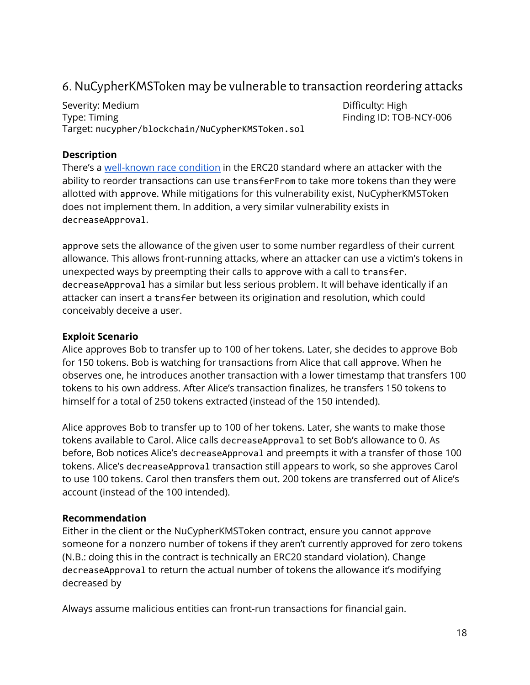### <span id="page-18-0"></span>6.NuCypherKMSToken may be vulnerable to transaction reordering attacks

Severity: Medium **Difficulty: High** Type: Timing Type: Timing Type: Timing ID: TOB-NCY-006 Target: nucypher/blockchain/NuCypherKMSToken.sol

### **Description**

There's a [well-known](https://docs.google.com/document/d/1YLPtQxZu1UAvO9cZ1O2RPXBbT0mooh4DYKjA_jp-RLM/edit) race condition in the ERC20 standard where an attacker with the ability to reorder transactions can use transferFrom to take more tokens than they were allotted with approve. While mitigations for this vulnerability exist, NuCypherKMSToken does not implement them. In addition, a very similar vulnerability exists in decreaseApproval.

approve sets the allowance of the given user to some number regardless of their current allowance. This allows front-running attacks, where an attacker can use a victim's tokens in unexpected ways by preempting their calls to approve with a call to transfer. decreaseApproval has a similar but less serious problem. It will behave identically if an attacker can insert a transfer between its origination and resolution, which could conceivably deceive a user.

### **Exploit Scenario**

Alice approves Bob to transfer up to 100 of her tokens. Later, she decides to approve Bob for 150 tokens. Bob is watching for transactions from Alice that call approve. When he observes one, he introduces another transaction with a lower timestamp that transfers 100 tokens to his own address. After Alice's transaction finalizes, he transfers 150 tokens to himself for a total of 250 tokens extracted (instead of the 150 intended).

Alice approves Bob to transfer up to 100 of her tokens. Later, she wants to make those tokens available to Carol. Alice calls decreaseApproval to set Bob's allowance to 0. As before, Bob notices Alice's decreaseApproval and preempts it with a transfer of those 100 tokens. Alice's decreaseApproval transaction still appears to work, so she approves Carol to use 100 tokens. Carol then transfers them out. 200 tokens are transferred out of Alice's account (instead of the 100 intended).

### **Recommendation**

Either in the client or the NuCypherKMSToken contract, ensure you cannot approve someone for a nonzero number of tokens if they aren't currently approved for zero tokens (N.B.: doing this in the contract is technically an ERC20 standard violation). Change decreaseApproval to return the actual number of tokens the allowance it's modifying decreased by

Always assume malicious entities can front-run transactions for financial gain.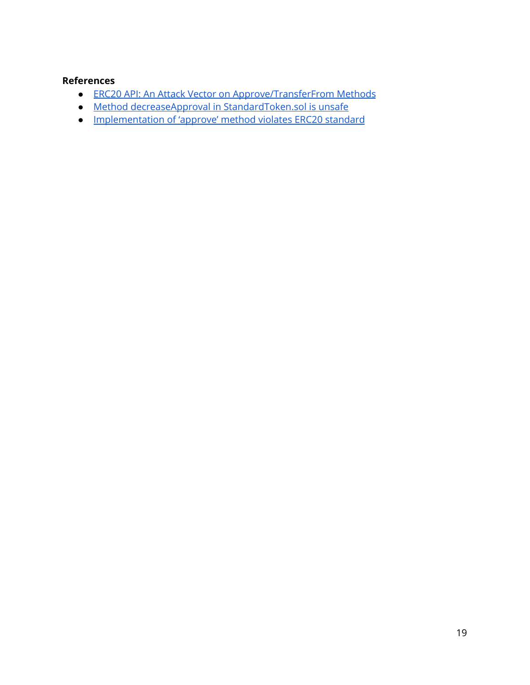### **References**

- ERC20 API: An Attack Vector on [Approve/TransferFrom](https://docs.google.com/document/d/1YLPtQxZu1UAvO9cZ1O2RPXBbT0mooh4DYKjA_jp-RLM/edit) Methods
- [Method](https://github.com/OpenZeppelin/openzeppelin-solidity/issues/437) [decreaseApproval](https://github.com/OpenZeppelin/openzeppelin-solidity/issues/437) [in](https://github.com/OpenZeppelin/openzeppelin-solidity/issues/437) [StandardToken.sol](https://github.com/OpenZeppelin/openzeppelin-solidity/issues/437) is [unsafe](https://github.com/OpenZeppelin/openzeppelin-solidity/issues/437)
- [Implementation](https://github.com/OpenZeppelin/openzeppelin-solidity/issues/438) of 'approve' method violates ERC20 standard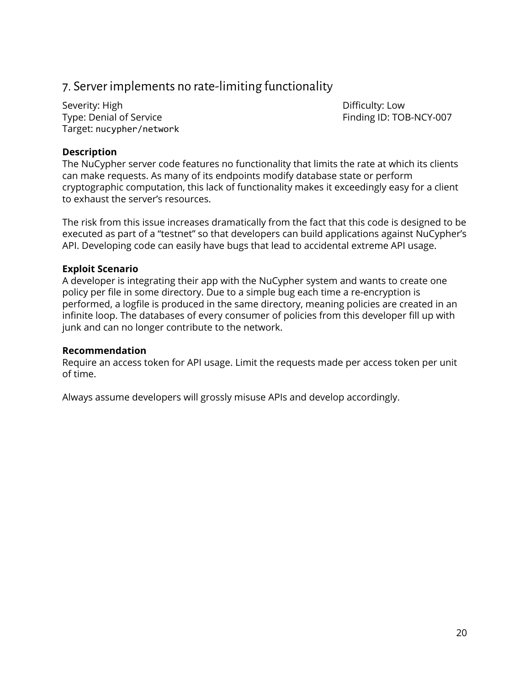### <span id="page-20-0"></span>7. Server implements no rate-limiting functionality

Severity: High Difficulty: Low Type: Denial of Service Type: Denial of Service Target: nucypher/network

### **Description**

The NuCypher server code features no functionality that limits the rate at which its clients can make requests. As many of its endpoints modify database state or perform cryptographic computation, this lack of functionality makes it exceedingly easy for a client to exhaust the server's resources.

The risk from this issue increases dramatically from the fact that this code is designed to be executed as part of a "testnet" so that developers can build applications against NuCypher's API. Developing code can easily have bugs that lead to accidental extreme API usage.

### **Exploit Scenario**

A developer is integrating their app with the NuCypher system and wants to create one policy per file in some directory. Due to a simple bug each time a re-encryption is performed, a logfile is produced in the same directory, meaning policies are created in an infinite loop. The databases of every consumer of policies from this developer fill up with junk and can no longer contribute to the network.

### **Recommendation**

Require an access token for API usage. Limit the requests made per access token per unit of time.

Always assume developers will grossly misuse APIs and develop accordingly.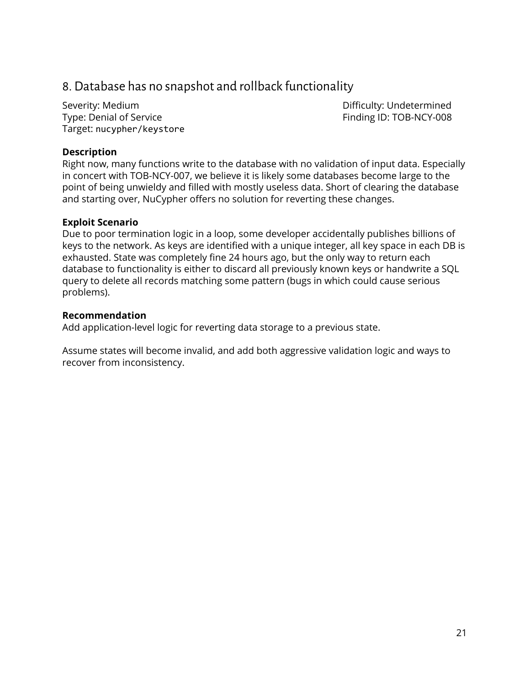### <span id="page-21-0"></span>8. Database has no snapshot and rollback functionality

Severity: Medium Difficulty: Undetermined Type: Denial of Service Type: Denial of Service Target: nucypher/keystore

### **Description**

Right now, many functions write to the database with no validation of input data. Especially in concert with TOB-NCY-007, we believe it is likely some databases become large to the point of being unwieldy and filled with mostly useless data. Short of clearing the database and starting over, NuCypher offers no solution for reverting these changes.

### **Exploit Scenario**

Due to poor termination logic in a loop, some developer accidentally publishes billions of keys to the network. As keys are identified with a unique integer, all key space in each DB is exhausted. State was completely fine 24 hours ago, but the only way to return each database to functionality is either to discard all previously known keys or handwrite a SQL query to delete all records matching some pattern (bugs in which could cause serious problems).

#### **Recommendation**

Add application-level logic for reverting data storage to a previous state.

Assume states will become invalid, and add both aggressive validation logic and ways to recover from inconsistency.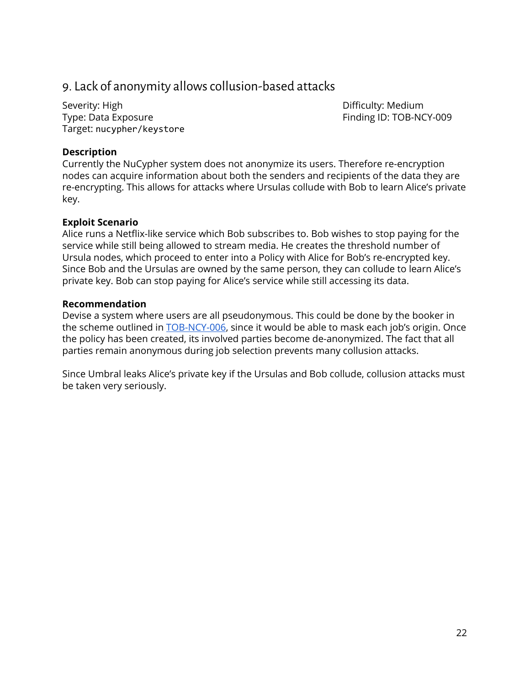### <span id="page-22-0"></span>9. Lack of anonymity allowscollusion-based attacks

Severity: High Difficulty: Medium Type: Data Exposure Type: Data Exposure Finding ID: TOB-NCY-009 Target: nucypher/keystore

### **Description**

Currently the NuCypher system does not anonymize its users. Therefore re-encryption nodes can acquire information about both the senders and recipients of the data they are re-encrypting. This allows for attacks where Ursulas collude with Bob to learn Alice's private key.

### **Exploit Scenario**

Alice runs a Netflix-like service which Bob subscribes to. Bob wishes to stop paying for the service while still being allowed to stream media. He creates the threshold number of Ursula nodes, which proceed to enter into a Policy with Alice for Bob's re-encrypted key. Since Bob and the Ursulas are owned by the same person, they can collude to learn Alice's private key. Bob can stop paying for Alice's service while still accessing its data.

### **Recommendation**

Devise a system where users are all pseudonymous. This could be done by the booker in the scheme outlined in **[TOB-NCY-006](#page-18-0)**, since it would be able to mask each job's origin. Once the policy has been created, its involved parties become de-anonymized. The fact that all parties remain anonymous during job selection prevents many collusion attacks.

Since Umbral leaks Alice's private key if the Ursulas and Bob collude, collusion attacks must be taken very seriously.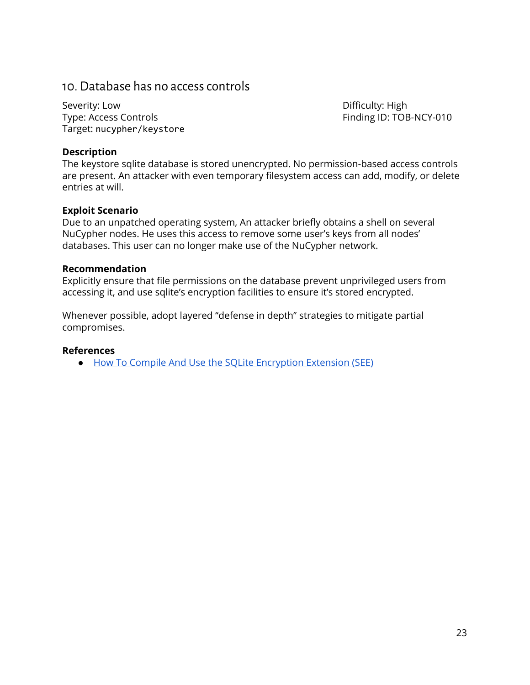### <span id="page-23-0"></span>10. Database has no accesscontrols

Severity: Low **Difficulty: High** Type: Access Controls Finding ID: TOB-NCY-010 Target: nucypher/keystore

### **Description**

The keystore sqlite database is stored unencrypted. No permission-based access controls are present. An attacker with even temporary filesystem access can add, modify, or delete entries at will.

### **Exploit Scenario**

Due to an unpatched operating system, An attacker briefly obtains a shell on several NuCypher nodes. He uses this access to remove some user's keys from all nodes' databases. This user can no longer make use of the NuCypher network.

### **Recommendation**

Explicitly ensure that file permissions on the database prevent unprivileged users from accessing it, and use sqlite's encryption facilities to ensure it's stored encrypted.

Whenever possible, adopt layered "defense in depth" strategies to mitigate partial compromises.

### **References**

● How To Compile And Use the SQLite [Encryption](https://www.sqlite.org/see/doc/trunk/www/readme.wiki) Extension (SEE)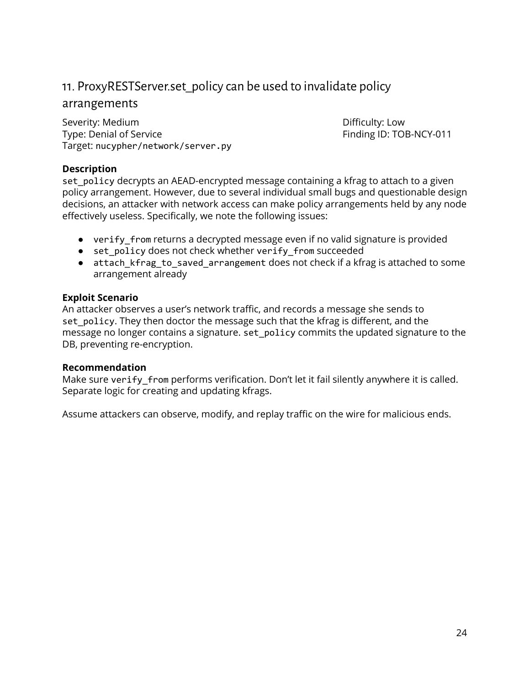### <span id="page-24-0"></span>11. ProxyRESTServer.set\_policy can be used to invalidate policy

### arrangements

Severity: Medium **Difficulty: Low** Type: Denial of Service The Service Finding ID: TOB-NCY-011 Target: nucypher/network/server.py

### **Description**

set\_policy decrypts an AEAD-encrypted message containing a kfrag to attach to a given policy arrangement. However, due to several individual small bugs and questionable design decisions, an attacker with network access can make policy arrangements held by any node effectively useless. Specifically, we note the following issues:

- verify\_from returns a decrypted message even if no valid signature is provided
- set\_policy does not check whether verify\_from succeeded
- attach kfrag to saved arrangement does not check if a kfrag is attached to some arrangement already

### **Exploit Scenario**

An attacker observes a user's network traffic, and records a message she sends to set\_policy. They then doctor the message such that the kfrag is different, and the message no longer contains a signature. set\_policy commits the updated signature to the DB, preventing re-encryption.

### **Recommendation**

Make sure verify\_from performs verification. Don't let it fail silently anywhere it is called. Separate logic for creating and updating kfrags.

Assume attackers can observe, modify, and replay traffic on the wire for malicious ends.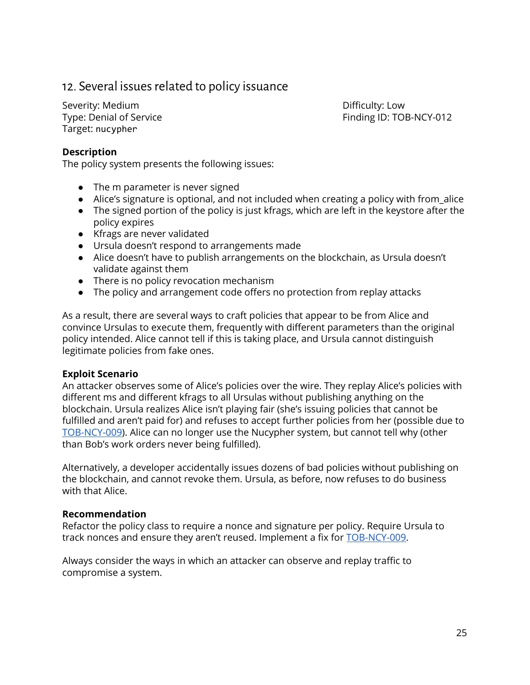### <span id="page-25-0"></span>12. Several issues related to policy issuance

Severity: Medium **Difficulty: Low** Target: nucypher

Type: Denial of Service Type: Denial of Service

### **Description**

The policy system presents the following issues:

- The m parameter is never signed
- Alice's signature is optional, and not included when creating a policy with from\_alice
- The signed portion of the policy is just kfrags, which are left in the keystore after the policy expires
- Kfrags are never validated
- Ursula doesn't respond to arrangements made
- Alice doesn't have to publish arrangements on the blockchain, as Ursula doesn't validate against them
- There is no policy revocation mechanism
- The policy and arrangement code offers no protection from replay attacks

As a result, there are several ways to craft policies that appear to be from Alice and convince Ursulas to execute them, frequently with different parameters than the original policy intended. Alice cannot tell if this is taking place, and Ursula cannot distinguish legitimate policies from fake ones.

### **Exploit Scenario**

An attacker observes some of Alice's policies over the wire. They replay Alice's policies with different ms and different kfrags to all Ursulas without publishing anything on the blockchain. Ursula realizes Alice isn't playing fair (she's issuing policies that cannot be fulfilled and aren't paid for) and refuses to accept further policies from her (possible due to [TOB-NCY-009](#page-22-0)). Alice can no longer use the Nucypher system, but cannot tell why (other than Bob's work orders never being fulfilled).

Alternatively, a developer accidentally issues dozens of bad policies without publishing on the blockchain, and cannot revoke them. Ursula, as before, now refuses to do business with that Alice.

### **Recommendation**

Refactor the policy class to require a nonce and signature per policy. Require Ursula to track nonces and ensure they aren't reused. Implement a fix for [TOB-NCY-009.](#page-22-0)

Always consider the ways in which an attacker can observe and replay traffic to compromise a system.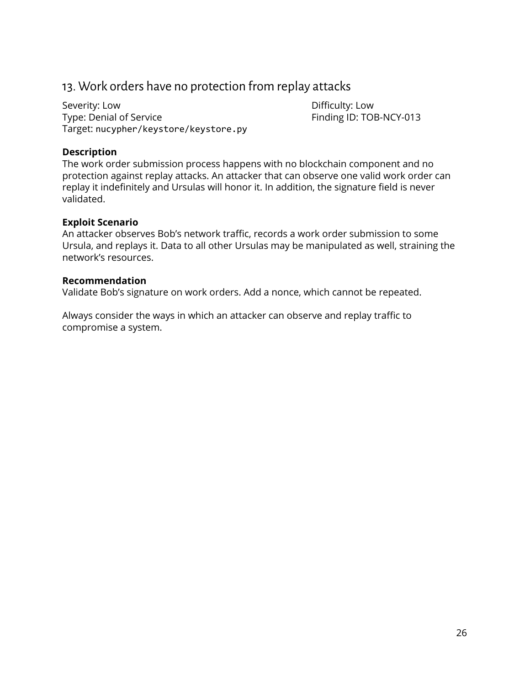### <span id="page-26-0"></span>13. Work orders have no protection from replay attacks

Severity: Low **Difficulty:** Low Type: Denial of Service Type: Denial of Service Target: nucypher/keystore/keystore.py

### **Description**

The work order submission process happens with no blockchain component and no protection against replay attacks. An attacker that can observe one valid work order can replay it indefinitely and Ursulas will honor it. In addition, the signature field is never validated.

### **Exploit Scenario**

An attacker observes Bob's network traffic, records a work order submission to some Ursula, and replays it. Data to all other Ursulas may be manipulated as well, straining the network's resources.

#### **Recommendation**

Validate Bob's signature on work orders. Add a nonce, which cannot be repeated.

Always consider the ways in which an attacker can observe and replay traffic to compromise a system.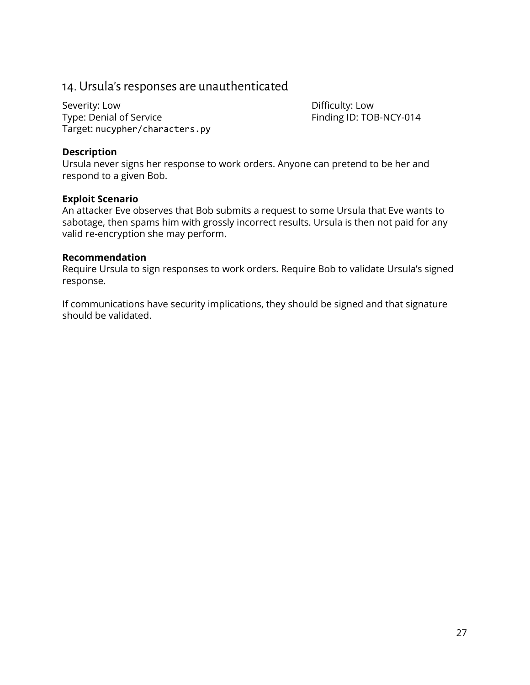### <span id="page-27-0"></span>14. Ursula's responses are unauthenticated

Severity: Low **Difficulty:** Low Type: Denial of Service Type: Denial of Service Target: nucypher/characters.py

### **Description**

Ursula never signs her response to work orders. Anyone can pretend to be her and respond to a given Bob.

### **Exploit Scenario**

An attacker Eve observes that Bob submits a request to some Ursula that Eve wants to sabotage, then spams him with grossly incorrect results. Ursula is then not paid for any valid re-encryption she may perform.

#### **Recommendation**

Require Ursula to sign responses to work orders. Require Bob to validate Ursula's signed response.

If communications have security implications, they should be signed and that signature should be validated.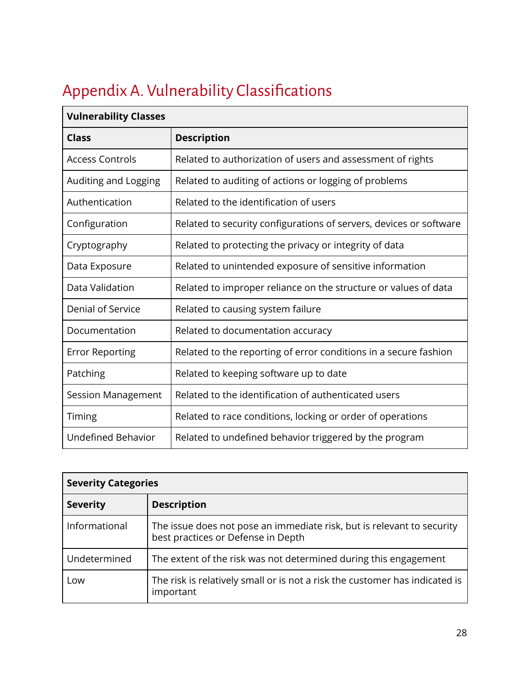# <span id="page-28-0"></span>Appendix A. Vulnerability Classifications

| <b>Vulnerability Classes</b> |                                                                    |  |
|------------------------------|--------------------------------------------------------------------|--|
| <b>Class</b>                 | <b>Description</b>                                                 |  |
| <b>Access Controls</b>       | Related to authorization of users and assessment of rights         |  |
| Auditing and Logging         | Related to auditing of actions or logging of problems              |  |
| Authentication               | Related to the identification of users                             |  |
| Configuration                | Related to security configurations of servers, devices or software |  |
| Cryptography                 | Related to protecting the privacy or integrity of data             |  |
| Data Exposure                | Related to unintended exposure of sensitive information            |  |
| Data Validation              | Related to improper reliance on the structure or values of data    |  |
| Denial of Service            | Related to causing system failure                                  |  |
| Documentation                | Related to documentation accuracy                                  |  |
| <b>Error Reporting</b>       | Related to the reporting of error conditions in a secure fashion   |  |
| Patching                     | Related to keeping software up to date                             |  |
| <b>Session Management</b>    | Related to the identification of authenticated users               |  |
| Timing                       | Related to race conditions, locking or order of operations         |  |
| <b>Undefined Behavior</b>    | Related to undefined behavior triggered by the program             |  |

| <b>Severity Categories</b> |                                                                                                              |  |
|----------------------------|--------------------------------------------------------------------------------------------------------------|--|
| <b>Severity</b>            | <b>Description</b>                                                                                           |  |
| Informational              | The issue does not pose an immediate risk, but is relevant to security<br>best practices or Defense in Depth |  |
| Undetermined               | The extent of the risk was not determined during this engagement                                             |  |
| Low                        | The risk is relatively small or is not a risk the customer has indicated is<br>important                     |  |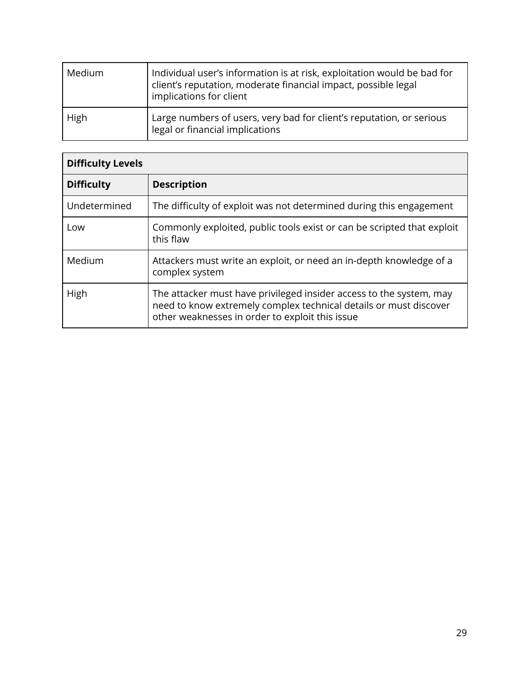| Medium | Individual user's information is at risk, exploitation would be bad for<br>client's reputation, moderate financial impact, possible legal<br>implications for client |
|--------|----------------------------------------------------------------------------------------------------------------------------------------------------------------------|
| High   | Large numbers of users, very bad for client's reputation, or serious<br>legal or financial implications                                                              |

| <b>Difficulty Levels</b> |                                                                                                                                                                                             |  |
|--------------------------|---------------------------------------------------------------------------------------------------------------------------------------------------------------------------------------------|--|
| <b>Difficulty</b>        | <b>Description</b>                                                                                                                                                                          |  |
| Undetermined             | The difficulty of exploit was not determined during this engagement                                                                                                                         |  |
| Low                      | Commonly exploited, public tools exist or can be scripted that exploit<br>this flaw                                                                                                         |  |
| Medium                   | Attackers must write an exploit, or need an in-depth knowledge of a<br>complex system                                                                                                       |  |
| High                     | The attacker must have privileged insider access to the system, may<br>need to know extremely complex technical details or must discover<br>other weaknesses in order to exploit this issue |  |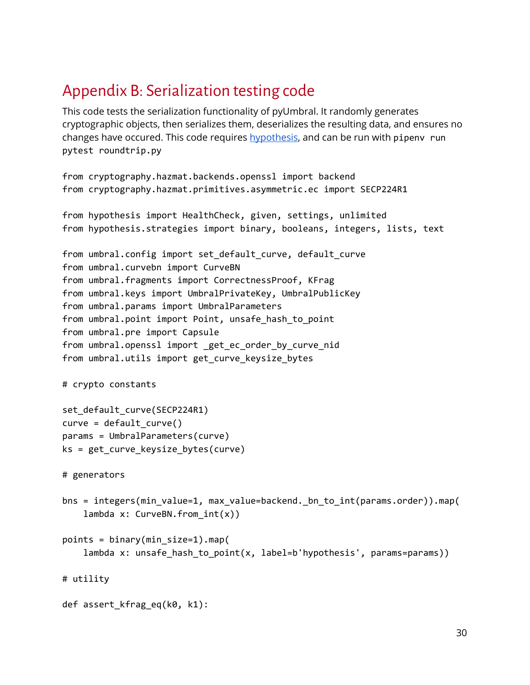## <span id="page-30-0"></span>Appendix B: Serialization testing code

This code tests the serialization functionality of pyUmbral. It randomly generates cryptographic objects, then serializes them, deserializes the resulting data, and ensures no changes have occured. This code requires [hypothesis](https://hypothesis.works/), and can be run with pipenv run pytest roundtrip.py

```
from cryptography.hazmat.backends.openssl import backend
from cryptography.hazmat.primitives.asymmetric.ec import SECP224R1
```

```
from hypothesis import HealthCheck, given, settings, unlimited
from hypothesis.strategies import binary, booleans, integers, lists, text
```

```
from umbral.config import set_default_curve, default_curve
from umbral.curvebn import CurveBN
from umbral.fragments import CorrectnessProof, KFrag
from umbral.keys import UmbralPrivateKey, UmbralPublicKey
from umbral.params import UmbralParameters
from umbral.point import Point, unsafe hash to point
from umbral.pre import Capsule
from umbral.openssl import _get_ec_order_by_curve_nid
from umbral.utils import get_curve_keysize_bytes
```

```
# crypto constants
```

```
set default curve(SECP224R1)
curve = default_curve()
params = UmbralParameters(curve)
ks = get_curve_keysize_bytes(curve)
```

```
# generators
```

```
bns = integers(min_value=1, max_value=backend._bn_to_int(params.order)).map(
    lambda x: CurveBN.from_int(x))
```

```
points = binary(min_size=1).map(
    lambda x: unsafe hash to point(x, label=b'hypothesis', params=params))
```
# utility

```
def assert kfrag eq(k0, k1):
```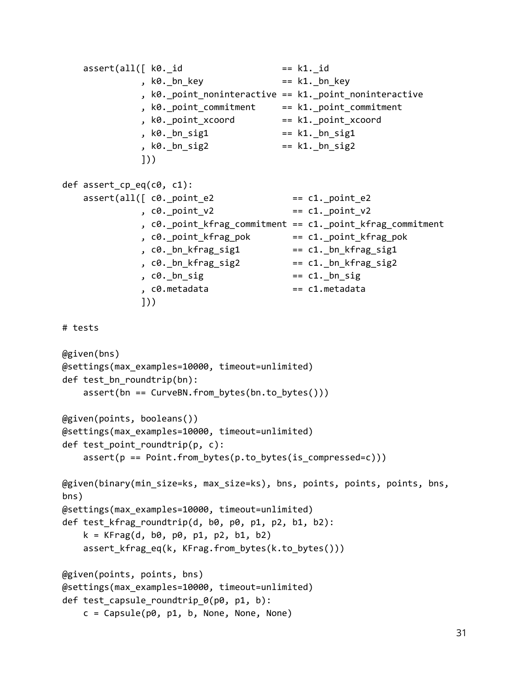```
\textsf{assert}(\textsf{all}(\texttt{[ k0. id} \quad \texttt{= k1. id} \quad \texttt{= k1.} \quad \texttt{[}, k\theta. bn key == k1. bn key, k0._point_noninteractive == k1._point_noninteractive
              , k0._point_commitment == k1._point_commitment
              , k0._point_xcoord == k1._point_xcoord
              , k0. bn sig1 = k1. bn sig1
              , k0._bn_sig2 == k1._bn_sig2
              ]))
def assert_cp_eq(c0, c1):
    assert(all([c0.point_e2 \qquad == c1.point_e2, c\theta. point \ y2 == c1. point \ y2, c0._point_kfrag_commitment == c1._point_kfrag_commitment
              , c0._point_kfrag_pok == c1._point_kfrag_pok
              , c\theta. bn kfrag_sig1 == c1. bn kfrag_sig1
              , co. bn_kfrag_sig2 == c1. _bn_kfrag_sig2
              , c\theta. bn sig = c1. bn sig
              , c0.metadata == c1.metadata
              ]))
# tests
@given(bns)
@settings(max_examples=10000, timeout=unlimited)
def test_bn_roundtrip(bn):
    assert(bn == CurveBN.from_bytes(bn.to_bytes()))
@given(points, booleans())
@settings(max_examples=10000, timeout=unlimited)
def test point roundtrip(p, c):
    assert(p == Point.from_bytes(p.to_bytes(is_compressed=c)))
@given(binary(min_size=ks, max_size=ks), bns, points, points, points, bns,
bns)
@settings(max_examples=10000, timeout=unlimited)
def test kfrag_roundtrip(d, b0, p0, p1, p2, b1, b2):
   k = KFrag(d, b0, p0, p1, p2, b1, b2)assert_kfrag_eq(k, KFrag.from_bytes(k.to_bytes()))
@given(points, points, bns)
@settings(max_examples=10000, timeout=unlimited)
def test_capsule_roundtrip_0(p0, p1, b):
    c = \text{Capsule}(p0, p1, b, None, None, None)
```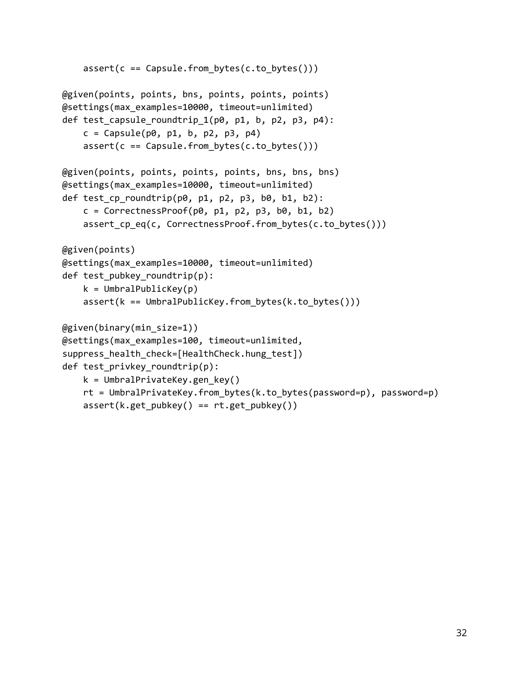```
assert(c == Capsule-from_bytes(c.to_bytes)))@given(points, points, bns, points, points, points)
@settings(max_examples=10000, timeout=unlimited)
def test_capsule_roundtrip_1(p0, p1, b, p2, p3, p4):
    c = \text{Capsule}(p0, p1, b, p2, p3, p4)assert(c == Capsule.from_bytes(c.to_bytes()))
@given(points, points, points, points, bns, bns, bns)
@settings(max_examples=10000, timeout=unlimited)
def test_cp_roundtrip(p0, p1, p2, p3, b0, b1, b2):
    c = CorrectnessProof(p0, p1, p2, p3, b0, b1, b2)
    assert_cp_eq(c, CorrectnessProof.from_bytes(c.to_bytes()))
@given(points)
@settings(max_examples=10000, timeout=unlimited)
def test_pubkey_roundtrip(p):
    k = UmbralPublicKey(p)
    assert(k == UmbralPublicKey.from_bytes(k.to_bytes())@given(binary(min_size=1))
@settings(max_examples=100, timeout=unlimited,
suppress_health_check=[HealthCheck.hung_test])
def test_privkey_roundtrip(p):
    k = UmbralPrivateKey.gen_key()
    rt = UmbralPrivateKey.from_bytes(k.to_bytes(password=p), password=p)
    assert(k.get\_pubkey() == rt.get\_pubkey())
```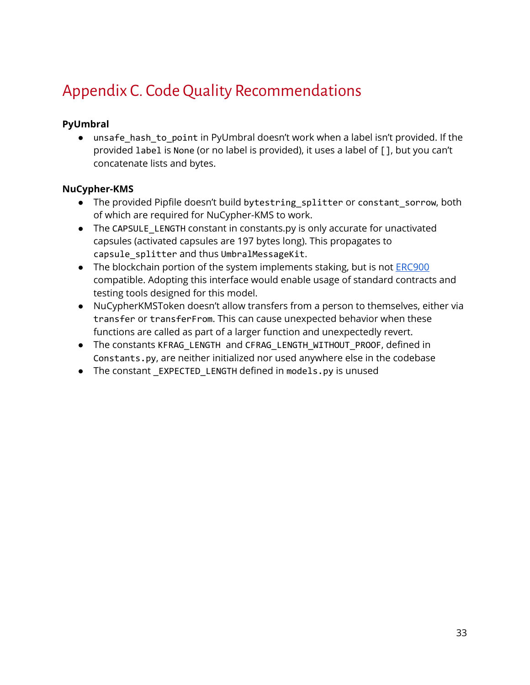# <span id="page-33-0"></span>Appendix C. Code Quality Recommendations

### **PyUmbral**

● unsafe\_hash\_to\_point in PyUmbral doesn't work when a label isn't provided. If the provided label is None (or no label is provided), it uses a label of [], but you can't concatenate lists and bytes.

### **NuCypher-KMS**

- The provided Pipfile doesn't build bytestring\_splitter or constant\_sorrow, both of which are required for NuCypher-KMS to work.
- The CAPSULE\_LENGTH constant in constants.py is only accurate for unactivated capsules (activated capsules are 197 bytes long). This propagates to capsule\_splitter and thus UmbralMessageKit.
- The blockchain portion of the system implements staking, but is not [ERC900](https://github.com/ethereum/EIPs/issues/900) compatible. Adopting this interface would enable usage of standard contracts and testing tools designed for this model.
- NuCypherKMSToken doesn't allow transfers from a person to themselves, either via transfer or transferFrom. This can cause unexpected behavior when these functions are called as part of a larger function and unexpectedly revert.
- The constants KFRAG\_LENGTH and CFRAG\_LENGTH\_WITHOUT\_PROOF, defined in Constants.py, are neither initialized nor used anywhere else in the codebase
- The constant \_EXPECTED\_LENGTH defined in models.py is unused